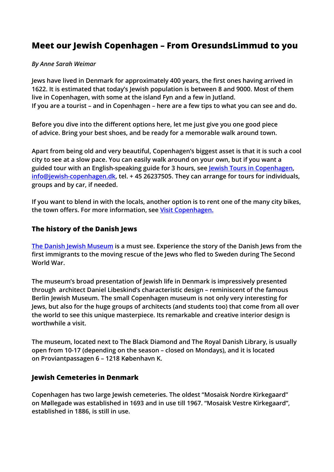# Meet our Jewish Copenhagen – From OresundsLimmud to you

#### By Anne Sarah Weimar

Jews have lived in Denmark for approximately 400 years, the first ones having arrived in 1622. It is estimated that today's Jewish population is between 8 and 9000. Most of them live in Copenhagen, with some at the island Fyn and a few in Jutland. If you are a tourist – and in Copenhagen – here are a few tips to what you can see and do.

Before you dive into the different options here, let me just give you one good piece of advice. Bring your best shoes, and be ready for a memorable walk around town.

Apart from being old and very beautiful, Copenhagen's biggest asset is that it is such a cool city to see at a slow pace. You can easily walk around on your own, but if you want a guided tour with an English-speaking guide for 3 hours, see Jewish Tours in Copenhagen, info@jewish-copenhagen.dk, tel. +45 26237505. They can arrange for tours for individuals, groups and by car, if needed.

If you want to blend in with the locals, another option is to rent one of the many city bikes, the town offers. For more information, see Visit Copenhagen.

#### The history of the Danish Jews

The Danish Jewish Museum is a must see. Experience the story of the Danish Jews from the first immigrants to the moving rescue of the Jews who fled to Sweden during The Second World War.

The museum's broad presentation of Jewish life in Denmark is impressively presented through architect Daniel Libeskind's characteristic design – reminiscent of the famous Berlin Jewish Museum. The small Copenhagen museum is not only very interesting for Jews, but also for the huge groups of architects (and students too) that come from all over the world to see this unique masterpiece. Its remarkable and creative interior design is worthwhile a visit.

The museum, located next to The Black Diamond and The Royal Danish Library, is usually open from 10-17 (depending on the season – closed on Mondays), and it is located on Proviantpassagen 6 – 1218 København K.

#### Jewish Cemeteries in Denmark

Copenhagen has two large Jewish cemeteries. The oldest "Mosaisk Nordre Kirkegaard" on Møllegade was established in 1693 and in use till 1967. "Mosaisk Vestre Kirkegaard", established in 1886, is still in use.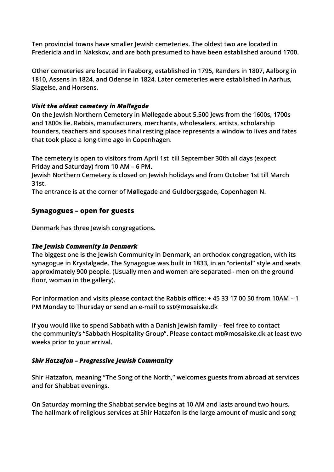Ten provincial towns have smaller Jewish cemeteries. The oldest two are located in Fredericia and in Nakskov, and are both presumed to have been established around 1700.

Other cemeteries are located in Faaborg, established in 1795, Randers in 1807, Aalborg in 1810, Assens in 1824, and Odense in 1824. Later cemeteries were established in Aarhus, Slagelse, and Horsens.

#### Visit the oldest cemetery in Møllegade

On the Jewish Northern Cemetery in Møllegade about 5,500 Jews from the 1600s, 1700s and 1800s lie. Rabbis, manufacturers, merchants, wholesalers, artists, scholarship founders, teachers and spouses final resting place represents a window to lives and fates that took place a long time ago in Copenhagen.

The cemetery is open to visitors from April 1st till September 30th all days (expect Friday and Saturday) from 10 AM – 6 PM.

Jewish Northern Cemetery is closed on Jewish holidays and from October 1st till March 31st.

The entrance is at the corner of Møllegade and Guldbergsgade, Copenhagen N.

## Synagogues – open for guests

Denmark has three Jewish congregations.

## The Jewish Community in Denmark

The biggest one is the Jewish Community in Denmark, an orthodox congregation, with its synagogue in Krystalgade. The Synagogue was built in 1833, in an "oriental" style and seats approximately 900 people. (Usually men and women are separated - men on the ground floor, woman in the gallery).

For information and visits please contact the Rabbis office: + 45 33 17 00 50 from 10AM – 1 PM Monday to Thursday or send an e-mail to sst@mosaiske.dk

If you would like to spend Sabbath with a Danish Jewish family – feel free to contact the community's "Sabbath Hospitality Group". Please contact mt@mosaiske.dk at least two weeks prior to your arrival.

## Shir Hatzafon – Progressive Jewish Community

Shir Hatzafon, meaning "The Song of the North," welcomes guests from abroad at services and for Shabbat evenings.

On Saturday morning the Shabbat service begins at 10 AM and lasts around two hours. The hallmark of religious services at Shir Hatzafon is the large amount of music and song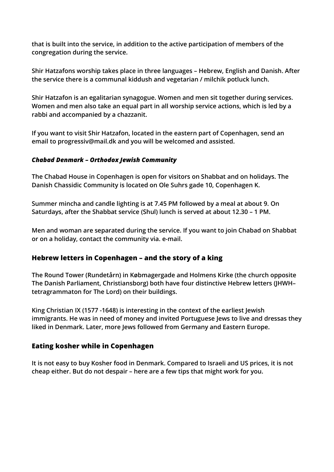that is built into the service, in addition to the active participation of members of the congregation during the service.

Shir Hatzafons worship takes place in three languages – Hebrew, English and Danish. After the service there is a communal kiddush and vegetarian / milchik potluck lunch.

Shir Hatzafon is an egalitarian synagogue. Women and men sit together during services. Women and men also take an equal part in all worship service actions, which is led by a rabbi and accompanied by a chazzanit.

If you want to visit Shir Hatzafon, located in the eastern part of Copenhagen, send an email to progressiv@mail.dk and you will be welcomed and assisted.

## Chabad Denmark – Orthodox Jewish Community

The Chabad House in Copenhagen is open for visitors on Shabbat and on holidays. The Danish Chassidic Community is located on Ole Suhrs gade 10, Copenhagen K.

Summer mincha and candle lighting is at 7.45 PM followed by a meal at about 9. On Saturdays, after the Shabbat service (Shul) lunch is served at about 12.30 – 1 PM.

Men and woman are separated during the service. If you want to join Chabad on Shabbat or on a holiday, contact the community via. e-mail.

## Hebrew letters in Copenhagen – and the story of a king

The Round Tower (Rundetårn) in Købmagergade and Holmens Kirke (the church opposite The Danish Parliament, Christiansborg) both have four distinctive Hebrew letters (JHWH– tetragrammaton for The Lord) on their buildings.

King Christian IX (1577 -1648) is interesting in the context of the earliest Jewish immigrants. He was in need of money and invited Portuguese Jews to live and dressas they liked in Denmark. Later, more Jews followed from Germany and Eastern Europe.

## Eating kosher while in Copenhagen

It is not easy to buy Kosher food in Denmark. Compared to Israeli and US prices, it is not cheap either. But do not despair – here are a few tips that might work for you.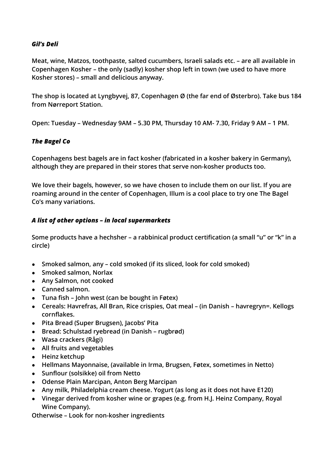#### Gil's Deli

Meat, wine, Matzos, toothpaste, salted cucumbers, Israeli salads etc. – are all available in Copenhagen Kosher – the only (sadly) kosher shop left in town (we used to have more Kosher stores) – small and delicious anyway.

The shop is located at Lyngbyvej, 87, Copenhagen Ø (the far end of Østerbro). Take bus 184 from Nørreport Station.

Open: Tuesday – Wednesday 9AM – 5.30 PM, Thursday 10 AM- 7.30, Friday 9 AM – 1 PM.

## The Bagel Co

Copenhagens best bagels are in fact kosher (fabricated in a kosher bakery in Germany), although they are prepared in their stores that serve non-kosher products too.

We love their bagels, however, so we have chosen to include them on our list. If you are roaming around in the center of Copenhagen, Illum is a cool place to try one The Bagel Co's many variations.

#### A list of other options – in local supermarkets

Some products have a hechsher – a rabbinical product certification (a small "u" or "k" in a circle)

- Smoked salmon, any cold smoked (if its sliced, look for cold smoked)
- Smoked salmon, Norlax
- Any Salmon, not cooked
- Canned salmon.
- $\bullet$  Tuna fish John west (can be bought in Føtex)
- Cereals: Havrefras, All Bran, Rice crispies, Oat meal (in Danish havregryn=. Kellogs cornflakes.
- Pita Bread (Super Brugsen), Jacobs' Pita
- Bread: Schulstad ryebread (in Danish rugbrød)
- Wasa crackers (Rågi)
- All fruits and vegetables
- Heinz ketchup
- Hellmans Mayonnaise, (available in Irma, Brugsen, Føtex, sometimes in Netto)
- Sunflour (solsikke) oil from Netto
- Odense Plain Marcipan, Anton Berg Marcipan
- Any milk, Philadelphia cream cheese. Yogurt (as long as it does not have E120)
- Vinegar derived from kosher wine or grapes (e.g. from H.J. Heinz Company, Royal Wine Company).

Otherwise – Look for non-kosher ingredients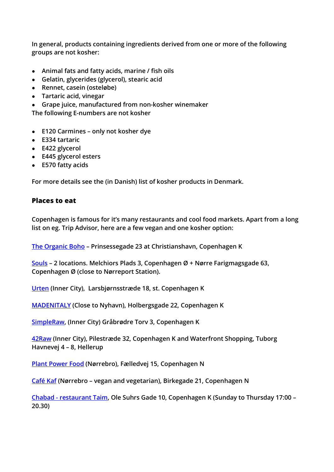In general, products containing ingredients derived from one or more of the following groups are not kosher:

- Animal fats and fatty acids, marine / fish oils
- Gelatin, glycerides (glycerol), stearic acid
- Rennet, casein (osteløbe)
- Tartaric acid, vinegar
- Grape juice, manufactured from non-kosher winemaker

The following E-numbers are not kosher

- E120 Carmines only not kosher dye
- E334 tartaric
- E422 glycerol
- E445 glycerol esters
- E570 fatty acids

For more details see the (in Danish) list of kosher products in Denmark.

## Places to eat

Copenhagen is famous for it's many restaurants and cool food markets. Apart from a long list on eg. Trip Advisor, here are a few vegan and one kosher option:

The Organic Boho – Prinsessegade 23 at Christianshavn, Copenhagen K

Souls – 2 locations. Melchiors Plads 3, Copenhagen Ø + Nørre Farigmagsgade 63, Copenhagen Ø (close to Nørreport Station).

Urten (Inner City), Larsbjørnsstræde 18, st. Copenhagen K

MADENITALY (Close to Nyhavn), Holbergsgade 22, Copenhagen K

SimpleRaw, (Inner City) Gråbrødre Torv 3, Copenhagen K

42Raw (Inner City), Pilestræde 32, Copenhagen K and Waterfront Shopping, Tuborg Havnevej 4 – 8, Hellerup

Plant Power Food (Nørrebro), Fælledvej 15, Copenhagen N

Café Kaf (Nørrebro – vegan and vegetarian), Birkegade 21, Copenhagen N

Chabad - restaurant Taim, Ole Suhrs Gade 10, Copenhagen K (Sunday to Thursday 17:00 – 20.30)